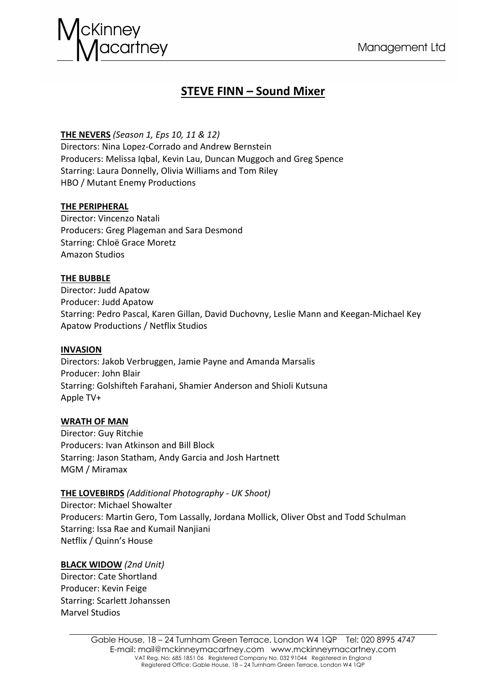

# **STEVE FINN – Sound Mixer**

# **THE NEVERS** *(Season 1, Eps 10, 11 & 12)*

Directors: Nina Lopez-Corrado and Andrew Bernstein Producers: Melissa Iqbal, Kevin Lau, Duncan Muggoch and Greg Spence Starring: Laura Donnelly, Olivia Williams and Tom Riley HBO / Mutant Enemy Productions

# **THE PERIPHERAL**

Director: Vincenzo Natali Producers: Greg Plageman and Sara Desmond Starring: Chloë Grace Moretz Amazon Studios

# **THE BUBBLE**

Director: Judd Apatow Producer: Judd Apatow Starring: Pedro Pascal, Karen Gillan, David Duchovny, Leslie Mann and Keegan-Michael Key Apatow Productions / Netflix Studios

#### **INVASION**

Directors: Jakob Verbruggen, Jamie Payne and Amanda Marsalis Producer: John Blair Starring: Golshifteh Farahani, Shamier Anderson and Shioli Kutsuna Apple TV+

# **WRATH OF MAN**

Director: Guy Ritchie Producers: Ivan Atkinson and Bill Block Starring: Jason Statham, Andy Garcia and Josh Hartnett MGM / Miramax

# **THE LOVEBIRDS** *(Additional Photography - UK Shoot)*

Director: Michael Showalter Producers: Martin Gero, Tom Lassally, Jordana Mollick, Oliver Obst and Todd Schulman Starring: Issa Rae and Kumail Nanjiani Netflix / Quinn's House

#### **BLACK WIDOW** *(2nd Unit)*

Director: Cate Shortland Producer: Kevin Feige Starring: Scarlett Johanssen Marvel Studios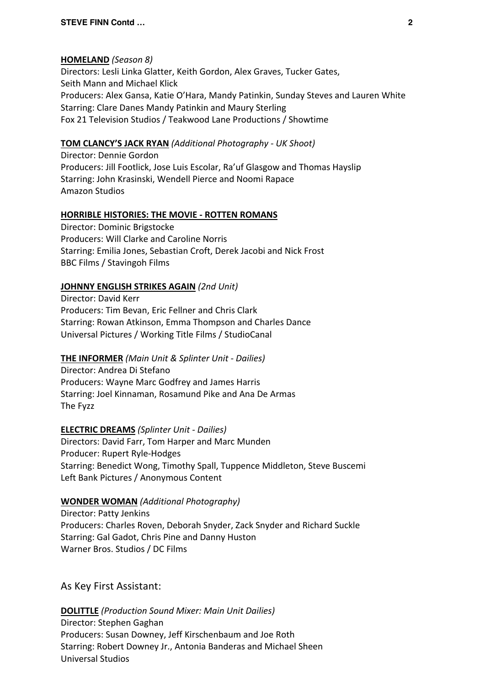### **HOMELAND** *(Season 8)*

Directors: Lesli Linka Glatter, Keith Gordon, Alex Graves, Tucker Gates, Seith Mann and Michael Klick Producers: Alex Gansa, Katie O'Hara, Mandy Patinkin, Sunday Steves and Lauren White Starring: Clare Danes Mandy Patinkin and Maury Sterling Fox 21 Television Studios / Teakwood Lane Productions / Showtime

# **TOM CLANCY'S JACK RYAN** *(Additional Photography - UK Shoot)*

Director: Dennie Gordon Producers: Jill Footlick, Jose Luis Escolar, Ra'uf Glasgow and Thomas Hayslip Starring: John Krasinski, Wendell Pierce and Noomi Rapace Amazon Studios

### **HORRIBLE HISTORIES: THE MOVIE - ROTTEN ROMANS**

Director: Dominic Brigstocke Producers: Will Clarke and Caroline Norris Starring: Emilia Jones, Sebastian Croft, Derek Jacobi and Nick Frost BBC Films / Stavingoh Films

### **JOHNNY ENGLISH STRIKES AGAIN** *(2nd Unit)*

Director: David Kerr Producers: Tim Bevan, Eric Fellner and Chris Clark Starring: Rowan Atkinson, Emma Thompson and Charles Dance Universal Pictures / Working Title Films / StudioCanal

# **THE INFORMER** *(Main Unit & Splinter Unit - Dailies)*

Director: Andrea Di Stefano Producers: Wayne Marc Godfrey and James Harris Starring: Joel Kinnaman, Rosamund Pike and Ana De Armas The Fyzz

#### **ELECTRIC DREAMS** *(Splinter Unit - Dailies)*

Directors: David Farr, Tom Harper and Marc Munden Producer: Rupert Ryle-Hodges Starring: Benedict Wong, Timothy Spall, Tuppence Middleton, Steve Buscemi Left Bank Pictures / Anonymous Content

#### **WONDER WOMAN** *(Additional Photography)*

Director: Patty Jenkins Producers: Charles Roven, Deborah Snyder, Zack Snyder and Richard Suckle Starring: Gal Gadot, Chris Pine and Danny Huston Warner Bros. Studios / DC Films

As Key First Assistant:

**DOLITTLE** *(Production Sound Mixer: Main Unit Dailies)* Director: Stephen Gaghan Producers: Susan Downey, Jeff Kirschenbaum and Joe Roth Starring: Robert Downey Jr., Antonia Banderas and Michael Sheen Universal Studios